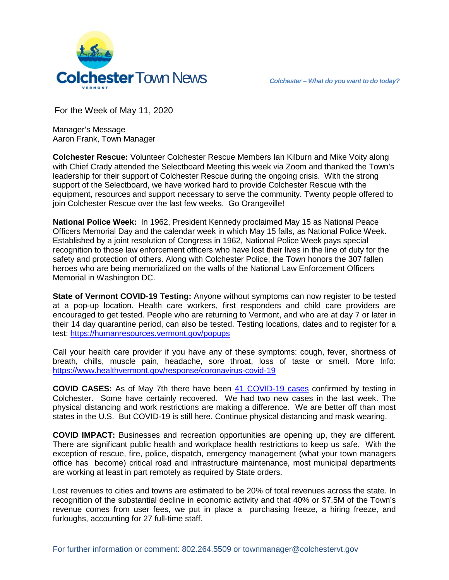



For the Week of May 11, 2020

Manager's Message Aaron Frank, Town Manager

**Colchester Rescue:** Volunteer Colchester Rescue Members Ian Kilburn and Mike Voity along with Chief Crady attended the Selectboard Meeting this week via Zoom and thanked the Town's leadership for their support of Colchester Rescue during the ongoing crisis. With the strong support of the Selectboard, we have worked hard to provide Colchester Rescue with the equipment, resources and support necessary to serve the community. Twenty people offered to join Colchester Rescue over the last few weeks. Go Orangeville!

**National Police Week:** In 1962, President Kennedy proclaimed May 15 as National Peace Officers Memorial Day and the calendar week in which May 15 falls, as National Police Week. Established by a joint resolution of Congress in 1962, National Police Week pays special recognition to those law enforcement officers who have lost their lives in the line of duty for the safety and protection of others. Along with Colchester Police, the Town honors the 307 fallen heroes who are being memorialized on the walls of the National Law Enforcement Officers Memorial in Washington DC.

**State of Vermont COVID-19 Testing:** Anyone without symptoms can now register to be tested at a pop-up location. Health care workers, first responders and child care providers are encouraged to get tested. People who are returning to Vermont, and who are at day 7 or later in their 14 day quarantine period, can also be tested. Testing locations, dates and to register for a test:<https://humanresources.vermont.gov/popups>

Call your health care provider if you have any of these symptoms: cough, fever, shortness of breath, chills, muscle pain, headache, sore throat, loss of taste or smell. More Info: <https://www.healthvermont.gov/response/coronavirus-covid-19>

**COVID CASES:** As of May 7th there have been [41 COVID-19 cases](https://www.healthvermont.gov/response/coronavirus-covid-19/current-activity-vermont#town) confirmed by testing in Colchester. Some have certainly recovered. We had two new cases in the last week. The physical distancing and work restrictions are making a difference. We are better off than most states in the U.S. But COVID-19 is still here. Continue physical distancing and mask wearing.

**COVID IMPACT:** Businesses and recreation opportunities are opening up, they are different. There are significant public health and workplace health restrictions to keep us safe. With the exception of rescue, fire, police, dispatch, emergency management (what your town managers office has become) critical road and infrastructure maintenance, most municipal departments are working at least in part remotely as required by State orders.

Lost revenues to cities and towns are estimated to be 20% of total revenues across the state. In recognition of the substantial decline in economic activity and that 40% or \$7.5M of the Town's revenue comes from user fees, we put in place a purchasing freeze, a hiring freeze, and furloughs, accounting for 27 full-time staff.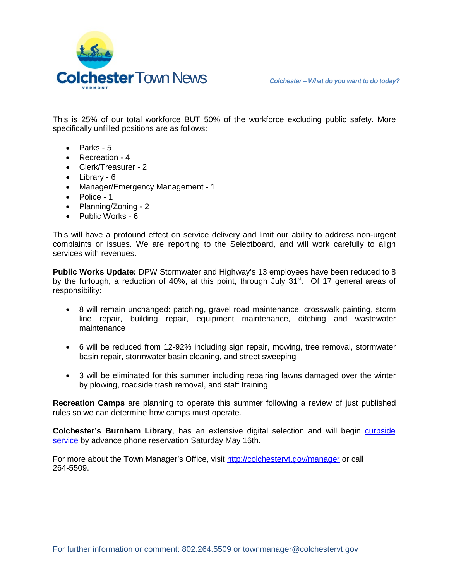



This is 25% of our total workforce BUT 50% of the workforce excluding public safety. More specifically unfilled positions are as follows:

- Parks 5
- Recreation 4
- Clerk/Treasurer 2
- Library 6
- Manager/Emergency Management 1
- Police 1
- Planning/Zoning 2
- Public Works 6

This will have a profound effect on service delivery and limit our ability to address non-urgent complaints or issues. We are reporting to the Selectboard, and will work carefully to align services with revenues.

**Public Works Update:** DPW Stormwater and Highway's 13 employees have been reduced to 8 by the furlough, a reduction of 40%, at this point, through July  $31<sup>st</sup>$ . Of 17 general areas of responsibility:

- 8 will remain unchanged: patching, gravel road maintenance, crosswalk painting, storm line repair, building repair, equipment maintenance, ditching and wastewater maintenance
- 6 will be reduced from 12-92% including sign repair, mowing, tree removal, stormwater basin repair, stormwater basin cleaning, and street sweeping
- 3 will be eliminated for this summer including repairing lawns damaged over the winter by plowing, roadside trash removal, and staff training

**Recreation Camps** are planning to operate this summer following a review of just published rules so we can determine how camps must operate.

**Colchester's Burnham Library, has an extensive digital selection and will begin curbside** [service](https://colchestervt.gov/3244/Curbside) by advance phone reservation Saturday May 16th.

For more about the Town Manager's Office, visit <http://colchestervt.gov/manager> or call 264-5509.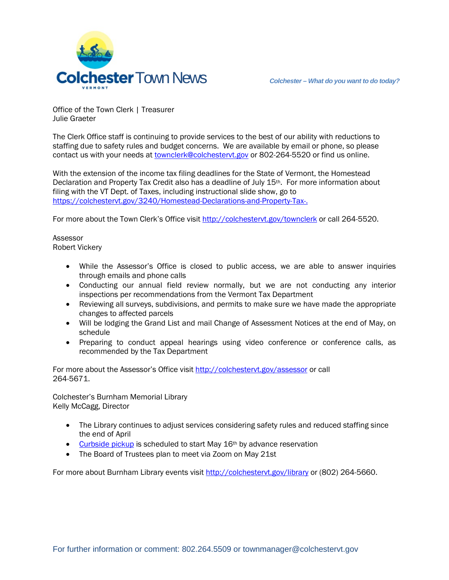

Office of the Town Clerk | Treasurer Julie Graeter

The Clerk Office staff is continuing to provide services to the best of our ability with reductions to staffing due to safety rules and budget concerns. We are available by email or phone, so please contact us with your needs a[t townclerk@colchestervt.gov](mailto:townclerk@colchestervt.gov) or 802-264-5520 or find us online.

With the extension of the income tax filing deadlines for the State of Vermont, the Homestead Declaration and Property Tax Credit also has a deadline of July 15th. For more information about filing with the VT Dept. of Taxes, including instructional slide show, go to <https://colchestervt.gov/3240/Homestead-Declarations-and-Property-Tax->.

For more about the Town Clerk's Office visit <http://colchestervt.gov/townclerk> or call 264-5520.

Assessor Robert Vickery

- While the Assessor's Office is closed to public access, we are able to answer inquiries through emails and phone calls
- Conducting our annual field review normally, but we are not conducting any interior inspections per recommendations from the Vermont Tax Department
- Reviewing all surveys, subdivisions, and permits to make sure we have made the appropriate changes to affected parcels
- Will be lodging the Grand List and mail Change of Assessment Notices at the end of May, on schedule
- Preparing to conduct appeal hearings using video conference or conference calls, as recommended by the Tax Department

For more about the Assessor's Office visi[t http://colchestervt.gov/assessor](http://colchestervt.gov/assessor) or call 264-5671.

Colchester's Burnham Memorial Library Kelly McCagg, Director

- The Library continues to adjust services considering safety rules and reduced staffing since the end of April
- [Curbside pickup](https://colchestervt.gov/3244/Curbside) is scheduled to start May 16<sup>th</sup> by advance reservation
- The Board of Trustees plan to meet via Zoom on May 21st

For more about Burnham Library events visi[t http://colchestervt.gov/library](http://colchestervt.gov/library) or (802) 264-5660.